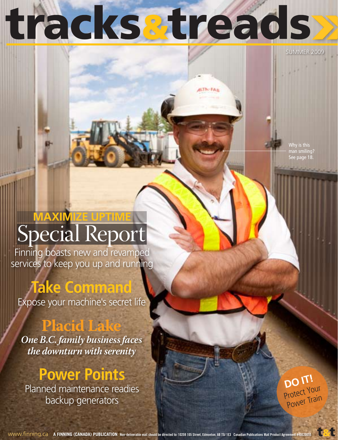# tracksatreads

**ILTN-FAL** 

SUMMER 2009

Why is this man smiling? See page 18.

## Special Report **MAXIMIZE UPTIME**

Finning boasts new and revamped services to keep you up and running

### **Take Command**

Expose your machine's secret life

### **Placid Lake**

*One B.C. family business faces the downturn with serenity*

### **Power Points**

Planned maintenance readies backup generators

**DO IT!** Protect Your Power Train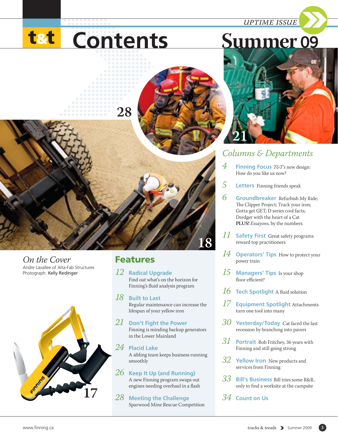*uptime issue*

# **t&t** Contents



**18**

Andre Lavallee of Alta-Fab Structures Photograph: Kelly Redinger *On the Cover*



### Features

*12* **Radical Upgrade**  Find out what's on the horizon for Finning's fluid analysis program

*18* **Built to Last**  Regular maintenance can increase the lifespan of your yellow iron

*21* **Don't Fight the Power** Finning is minding backup generators in the Lower Mainland

*24* **Placid Lake**  A sibling team keeps business running smoothly

*26* **Keep It Up (and Running)**  A new Finning program swaps out engines needing overhaul in a flash

*28* **Meeting the Challenge 17** *<sup>34</sup>* **Count on Us** Sparwood Mine Rescue Competition

### *Columns & Departments*

- *4* **Finning Focus** *T&T's* new design: How do you like us now?
- *5* **Letters** Finning friends speak
- *6* **Groundbreaker** Refurbish My Ride; The Clipper Project; Track your iron; Gotta get GET; D series cool facts; Dredger with the heart of a Cat **PLUS!** *Essayons*, by the numbers
- *11* **Safety First** Great safety programs reward top practitioners
- *14* **Operators' Tips** How to protect your power train
- *15* **Managers' Tips** Is your shop floor efficient?
- *16* **Tech Spotlight** A fluid solution
- *17* **Equipment Spotlight** Attachments turn one tool into many
- *30* **Yesterday/Today** Cat faced the last recession by branching into pavers
- *31* **Portrait** Bob Fritchey, 36 years with Finning and still going strong
- *32* **Yellow Iron** New products and services from Finning
- *33* **Bill's Business** Bill tries some R&R, only to find a worksite at the campsite
-